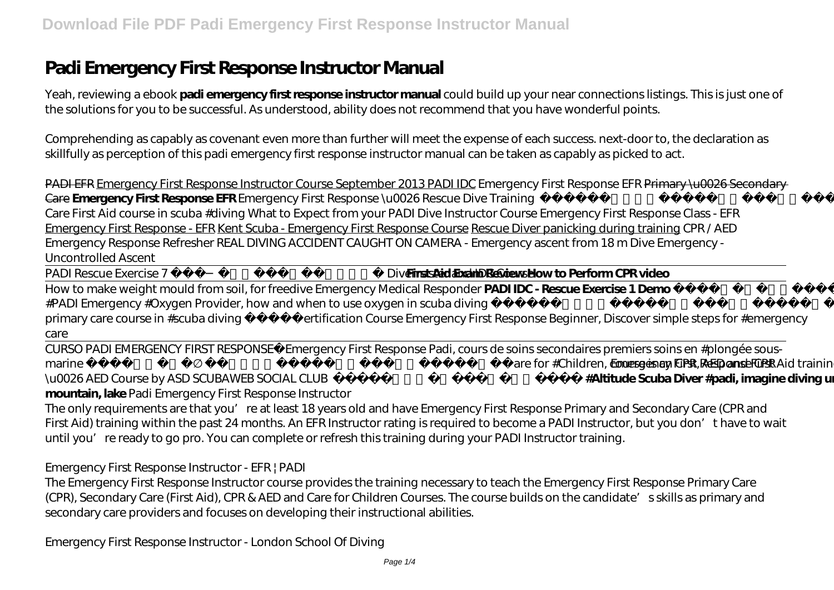# **Padi Emergency First Response Instructor Manual**

Yeah, reviewing a ebook **padi emergency first response instructor manual** could build up your near connections listings. This is just one of the solutions for you to be successful. As understood, ability does not recommend that you have wonderful points.

Comprehending as capably as covenant even more than further will meet the expense of each success. next-door to, the declaration as skillfully as perception of this padi emergency first response instructor manual can be taken as capably as picked to act.

PADI EFR Emergency First Response Instructor Course September 2013 PADI IDC *Emergency First Response EFR* Primary \u0026 Secondary Care **Emergency First Response EFR** *Emergency First Response \u0026 Rescue Dive Training Emergency First Response #Padi, Secondary Care First Aid course in scuba #diving What to Expect from your PADI Dive Instructor Course Emergency First Response Class - EFR* Emergency First Response - EFR Kent Scuba - Emergency First Response Course Rescue Diver panicking during training *CPR / AED Emergency Response Refresher REAL DIVING ACCIDENT CAUGHT ON CAMERA - Emergency ascent from 18 m Dive Emergency - Uncontrolled Ascent*

PADI Rescue Exercise 7 Rescue Diver, Divemaster and IDC Cour**set Aid Exam Review How to Perform CPR video** 

How to make weight mould from soil, for freedive Emergency Medical Responder **PADI IDC - Rescue Exercise 1 Demo** *Specialty Course #PADI Emergency #Oxygen Provider, how and when to use oxygen in scuba diving Emergency First Response #Padi, first aid and primary care course in #scuba diving Certification Course Emergency First Response Beginner, Discover simple steps for #emergency care*

CURSO PADI EMERGENCY FIRST RESPONSE Emergency First Response Padi, cours de soins secondaires premiers soins en #plongée sous*marine* Padi #Emergency First Response Care for #Children, course is an CPR, AED and First Aid training mergency First Response CPR \u0026 AED Course by ASD SCUBAWEB SOCIAL CLUB  **Diving specialty, #Altitude Scuba Diver #padi, imagine diving under the surface of mountain, lake** Padi Emergency First Response Instructor

The only requirements are that you're at least 18 years old and have Emergency First Response Primary and Secondary Care (CPR and First Aid) training within the past 24 months. An EFR Instructor rating is required to become a PADI Instructor, but you don't have to wait until you're ready to go pro. You can complete or refresh this training during your PADI Instructor training.

Emergency First Response Instructor - EFR | PADI

The Emergency First Response Instructor course provides the training necessary to teach the Emergency First Response Primary Care (CPR), Secondary Care (First Aid), CPR & AED and Care for Children Courses. The course builds on the candidate's skills as primary and secondary care providers and focuses on developing their instructional abilities.

Emergency First Response Instructor - London School Of Diving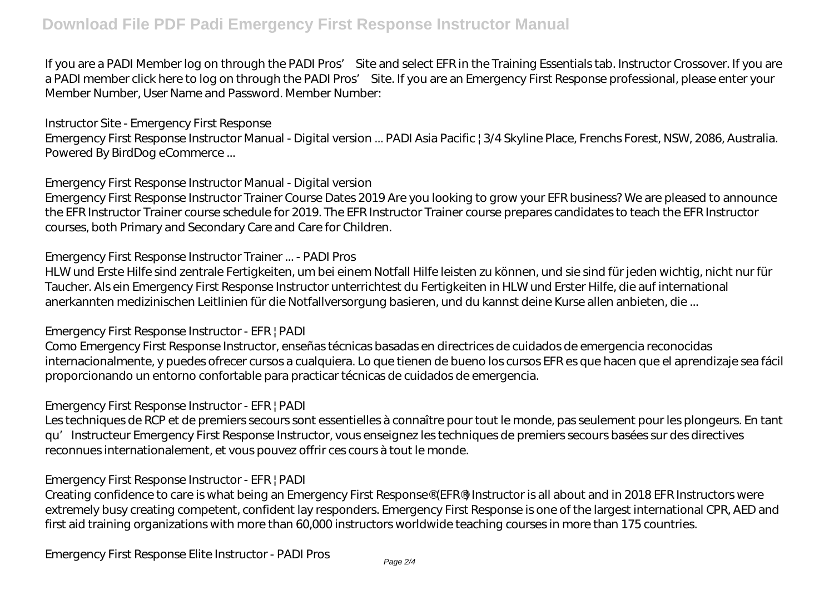### **Download File PDF Padi Emergency First Response Instructor Manual**

If you are a PADI Member log on through the PADI Pros' Site and select EFR in the Training Essentials tab. Instructor Crossover. If you are a PADI member click here to log on through the PADI Pros' Site. If you are an Emergency First Response professional, please enter your Member Number, User Name and Password. Member Number:

Instructor Site - Emergency First Response

Emergency First Response Instructor Manual - Digital version ... PADI Asia Pacific | 3/4 Skyline Place, Frenchs Forest, NSW, 2086, Australia. Powered By BirdDog eCommerce ...

Emergency First Response Instructor Manual - Digital version

Emergency First Response Instructor Trainer Course Dates 2019 Are you looking to grow your EFR business? We are pleased to announce the EFR Instructor Trainer course schedule for 2019. The EFR Instructor Trainer course prepares candidates to teach the EFR Instructor courses, both Primary and Secondary Care and Care for Children.

Emergency First Response Instructor Trainer ... - PADI Pros

HLW und Erste Hilfe sind zentrale Fertigkeiten, um bei einem Notfall Hilfe leisten zu können, und sie sind für jeden wichtig, nicht nur für Taucher. Als ein Emergency First Response Instructor unterrichtest du Fertigkeiten in HLW und Erster Hilfe, die auf international anerkannten medizinischen Leitlinien für die Notfallversorgung basieren, und du kannst deine Kurse allen anbieten, die ...

#### Emergency First Response Instructor - EFR | PADI

Como Emergency First Response Instructor, enseñas técnicas basadas en directrices de cuidados de emergencia reconocidas internacionalmente, y puedes ofrecer cursos a cualquiera. Lo que tienen de bueno los cursos EFR es que hacen que el aprendizaje sea fácil proporcionando un entorno confortable para practicar técnicas de cuidados de emergencia.

#### Emergency First Response Instructor - EFR | PADI

Les techniques de RCP et de premiers secours sont essentielles à connaître pour tout le monde, pas seulement pour les plongeurs. En tant qu'Instructeur Emergency First Response Instructor, vous enseignez les techniques de premiers secours basées sur des directives reconnues internationalement, et vous pouvez offrir ces cours à tout le monde.

#### Emergency First Response Instructor - EFR | PADI

Creating confidence to care is what being an Emergency First Response® (EFR®) Instructor is all about and in 2018 EFR Instructors were extremely busy creating competent, confident lay responders. Emergency First Response is one of the largest international CPR, AED and first aid training organizations with more than 60,000 instructors worldwide teaching courses in more than 175 countries.

Emergency First Response Elite Instructor - PADI Pros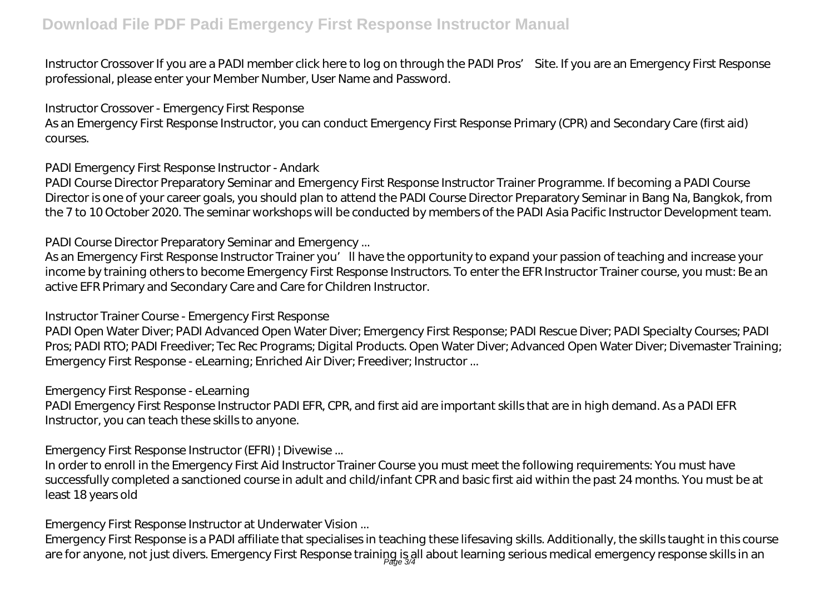Instructor Crossover If you are a PADI member click here to log on through the PADI Pros' Site. If you are an Emergency First Response professional, please enter your Member Number, User Name and Password.

Instructor Crossover - Emergency First Response

As an Emergency First Response Instructor, you can conduct Emergency First Response Primary (CPR) and Secondary Care (first aid) courses.

PADI Emergency First Response Instructor - Andark

PADI Course Director Preparatory Seminar and Emergency First Response Instructor Trainer Programme. If becoming a PADI Course Director is one of your career goals, you should plan to attend the PADI Course Director Preparatory Seminar in Bang Na, Bangkok, from the 7 to 10 October 2020. The seminar workshops will be conducted by members of the PADI Asia Pacific Instructor Development team.

PADI Course Director Preparatory Seminar and Emergency ...

As an Emergency First Response Instructor Trainer you'll have the opportunity to expand your passion of teaching and increase your income by training others to become Emergency First Response Instructors. To enter the EFR Instructor Trainer course, you must: Be an active EFR Primary and Secondary Care and Care for Children Instructor.

#### Instructor Trainer Course - Emergency First Response

PADI Open Water Diver; PADI Advanced Open Water Diver; Emergency First Response; PADI Rescue Diver; PADI Specialty Courses; PADI Pros; PADI RTO; PADI Freediver; Tec Rec Programs; Digital Products. Open Water Diver; Advanced Open Water Diver; Divemaster Training; Emergency First Response - eLearning; Enriched Air Diver; Freediver; Instructor ...

#### Emergency First Response - eLearning

PADI Emergency First Response Instructor PADI EFR, CPR, and first aid are important skills that are in high demand. As a PADI EFR Instructor, you can teach these skills to anyone.

Emergency First Response Instructor (EFRI) | Divewise ...

In order to enroll in the Emergency First Aid Instructor Trainer Course you must meet the following requirements: You must have successfully completed a sanctioned course in adult and child/infant CPR and basic first aid within the past 24 months. You must be at least 18 years old

Emergency First Response Instructor at Underwater Vision ...

Emergency First Response is a PADI affiliate that specialises in teaching these lifesaving skills. Additionally, the skills taught in this course are for anyone, not just divers. Emergency First Response training is all about learning serious medical emergency response skills in an